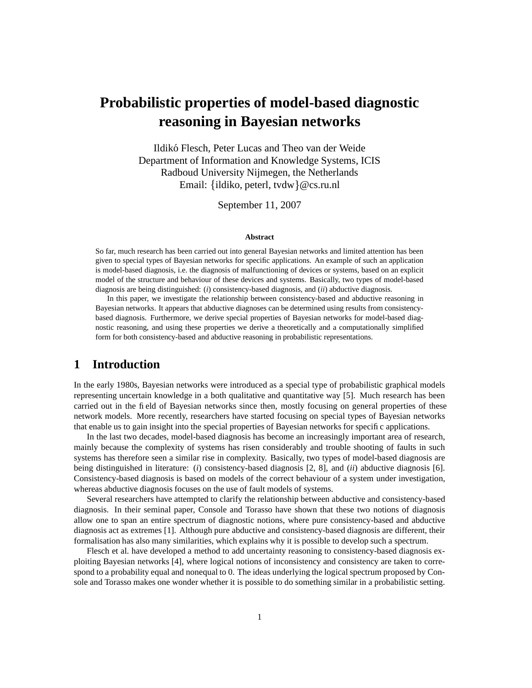# **Probabilistic properties of model-based diagnostic reasoning in Bayesian networks**

Ildiko´ Flesch, Peter Lucas and Theo van der Weide Department of Information and Knowledge Systems, ICIS Radboud University Nijmegen, the Netherlands Email: {ildiko, peterl, tvdw}@cs.ru.nl

September 11, 2007

#### **Abstract**

So far, much research has been carried out into general Bayesian networks and limited attention has been given to special types of Bayesian networks for specific applications. An example of such an application is model-based diagnosis, i.e. the diagnosis of malfunctioning of devices or systems, based on an explicit model of the structure and behaviour of these devices and systems. Basically, two types of model-based diagnosis are being distinguished: (*i*) consistency-based diagnosis, and (*ii*) abductive diagnosis.

In this paper, we investigate the relationship between consistency-based and abductive reasoning in Bayesian networks. It appears that abductive diagnoses can be determined using results from consistencybased diagnosis. Furthermore, we derive special properties of Bayesian networks for model-based diagnostic reasoning, and using these properties we derive a theoretically and a computationally simplified form for both consistency-based and abductive reasoning in probabilistic representations.

# **1 Introduction**

In the early 1980s, Bayesian networks were introduced as a special type of probabilistic graphical models representing uncertain knowledge in a both qualitative and quantitative way [5]. Much research has been carried out in the field of Bayesian networks since then, mostly focusing on general properties of these network models. More recently, researchers have started focusing on special types of Bayesian networks that enable us to gain insight into the special properties of Bayesian networks for specific applications.

In the last two decades, model-based diagnosis has become an increasingly important area of research, mainly because the complexity of systems has risen considerably and trouble shooting of faults in such systems has therefore seen a similar rise in complexity. Basically, two types of model-based diagnosis are being distinguished in literature: (*i*) consistency-based diagnosis [2, 8], and (*ii*) abductive diagnosis [6]. Consistency-based diagnosis is based on models of the correct behaviour of a system under investigation, whereas abductive diagnosis focuses on the use of fault models of systems.

Several researchers have attempted to clarify the relationship between abductive and consistency-based diagnosis. In their seminal paper, Console and Torasso have shown that these two notions of diagnosis allow one to span an entire spectrum of diagnostic notions, where pure consistency-based and abductive diagnosis act as extremes [1]. Although pure abductive and consistency-based diagnosis are different, their formalisation has also many similarities, which explains why it is possible to develop such a spectrum.

Flesch et al. have developed a method to add uncertainty reasoning to consistency-based diagnosis exploiting Bayesian networks [4], where logical notions of inconsistency and consistency are taken to correspond to a probability equal and nonequal to 0. The ideas underlying the logical spectrum proposed by Console and Torasso makes one wonder whether it is possible to do something similar in a probabilistic setting.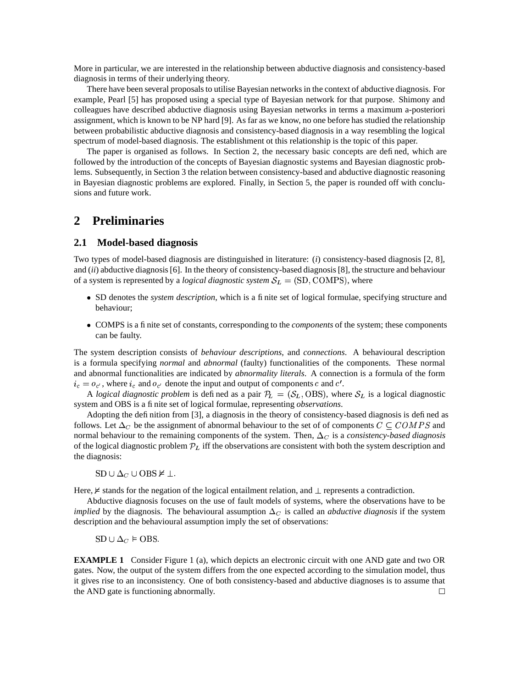More in particular, we are interested in the relationship between abductive diagnosis and consistency-based diagnosis in terms of their underlying theory.

There have been several proposalsto utilise Bayesian networks in the context of abductive diagnosis. For example, Pearl [5] has proposed using a special type of Bayesian network for that purpose. Shimony and colleagues have described abductive diagnosis using Bayesian networks in terms a maximum a-posteriori assignment, which is known to be NP hard [9]. As far as we know, no one before has studied the relationship between probabilistic abductive diagnosis and consistency-based diagnosis in a way resembling the logical spectrum of model-based diagnosis. The establishment ot this relationship is the topic of this paper.

The paper is organised as follows. In Section 2, the necessary basic concepts are defined, which are followed by the introduction of the concepts of Bayesian diagnostic systems and Bayesian diagnostic problems. Subsequently, in Section 3 the relation between consistency-based and abductive diagnostic reasoning in Bayesian diagnostic problems are explored. Finally, in Section 5, the paper is rounded off with conclusions and future work.

### **2 Preliminaries**

### **2.1 Model-based diagnosis**

Two types of model-based diagnosis are distinguished in literature: (*i*) consistency-based diagnosis [2, 8], and (*ii*) abductive diagnosis[6]. In the theory of consistency-based diagnosis[8], the structure and behaviour of a system is represented by a *logical diagnostic system*  $S_L = (SD, COMPS)$ , where

- SD denotes the *system description*, which is a finite set of logical formulae, specifying structure and behaviour;
- COMPS is a finite set of constants, corresponding to the *components* of the system; these components can be faulty.

The system description consists of *behaviour descriptions*, and *connections*. A behavioural description is a formula specifying *normal* and *abnormal* (faulty) functionalities of the components. These normal and abnormal functionalities are indicated by *abnormality literals*. A connection is a formula of the form  $i_c = o_{c'}$ , where  $i_c$  and  $o_{c'}$  denote the input and output of components c and c'.

A *logical diagnostic problem* is defined as a pair  $P_L = (S_L, OBS)$ , where  $S_L$  is a logical diagnostic system and OBS is a finite set of logical formulae, representing *observations*.

Adopting the definition from [3], a diagnosis in the theory of consistency-based diagnosis is defined as follows. Let  $\Delta_C$  be the assignment of abnormal behaviour to the set of of components  $C \subseteq COMPS$  and normal behaviour to the remaining components of the system. Then,  $\Delta_{\mathcal{C}}$  is a *consistency-based diagnosis* of the logical diagnostic problem  $\mathcal{P}_L$  iff the observations are consistent with both the system description and the diagnosis:

 $SD \cup \Delta_C \cup OBS \nvDash \bot.$ 

Here,  $\not\equiv$  stands for the negation of the logical entailment relation, and  $\perp$  represents a contradiction.

Abductive diagnosis focuses on the use of fault models of systems, where the observations have to be *implied* by the diagnosis. The behavioural assumption  $\Delta_C$  is called an *abductive diagnosis* if the system description and the behavioural assumption imply the set of observations:

 $SD \cup \Delta_C \vDash OBS.$ 

**EXAMPLE 1** Consider Figure 1 (a), which depicts an electronic circuit with one AND gate and two OR gates. Now, the output of the system differs from the one expected according to the simulation model, thus it gives rise to an inconsistency. One of both consistency-based and abductive diagnoses is to assume that the AND gate is functioning abnormally.  $\Box$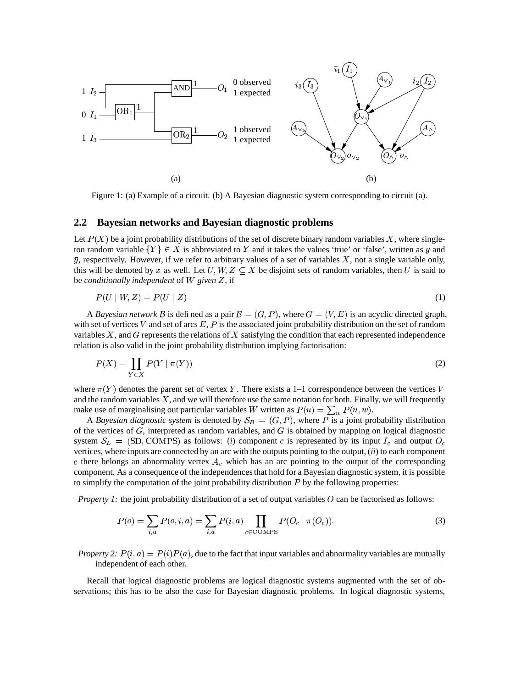

Figure 1: (a) Example of a circuit. (b) A Bayesian diagnostic system corresponding to circuit (a).

#### **2.2 Bayesian networks and Bayesian diagnostic problems**

Let  $P(X)$  be a joint probability distributions of the set of discrete binary random variables X, where singleton random variable  $\{Y\} \in X$  is abbreviated to Y and it takes the values 'true' or 'false', written as y and  $\bar{y}$ , respectively. However, if we refer to arbitrary values of a set of variables  $X$ , not a single variable only, this will be denoted by x as well. Let  $U, W, Z \subseteq X$  be disjoint sets of random variables, then U is said to be *conditionally independent* of W given Z, if

$$
P(U \mid W, Z) = P(U \mid Z) \tag{1}
$$

A *Bayesian network* B is defined as a pair  $B = (G, P)$ , where  $G = (V, E)$  is an acyclic directed graph, with set of vertices V and set of arcs  $E$ ,  $P$  is the associated joint probability distribution on the set of random variables  $X$ , and  $G$  represents the relations of  $X$  satisfying the condition that each represented independence relation is also valid in the joint probability distribution implying factorisation:

$$
P(X) = \prod_{Y \in X} P(Y \mid \pi(Y))
$$
\n<sup>(2)</sup>

where  $\pi(Y)$  denotes the parent set of vertex Y. There exists a 1–1 correspondence between the vertices V and the random variables  $X$ , and we will therefore use the same notation for both. Finally, we will frequently make use of marginalising out particular variables W written as  $P(u) = \sum_{w} P(u, w)$ .

A *Bayesian diagnostic system* is denoted by  $S_B = (G, P)$ , where P is a joint probability distribution of the vertices of  $G$ , interpreted as random variables, and  $G$  is obtained by mapping on logical diagnostic system  $S_L = (SD, COMPS)$  as follows: (*i*) component c is represented by its input  $I_c$  and output  $O_c$ vertices, where inputs are connected by an arc with the outputs pointing to the output, (*ii*) to each component c there belongs an abnormality vertex  $A_c$  which has an arc pointing to the output of the corresponding component. As a consequence of the independences that hold for a Bayesian diagnostic system, it is possible to simplify the computation of the joint probability distribution  $P$  by the following properties:

*Property 1:* the joint probability distribution of a set of output variables  $\hat{O}$  can be factorised as follows:

$$
P(o) = \sum_{i,a} P(o, i, a) = \sum_{i,a} P(i, a) \prod_{c \in \text{COMPS}} P(O_c \mid \pi(O_c)).
$$
 (3)

*Property* 2:  $P(i, a) = P(i)P(a)$ , due to the fact that input variables and abnormality variables are mutually independent of each other.

Recall that logical diagnostic problems are logical diagnostic systems augmented with the set of observations; this has to be also the case for Bayesian diagnostic problems. In logical diagnostic systems,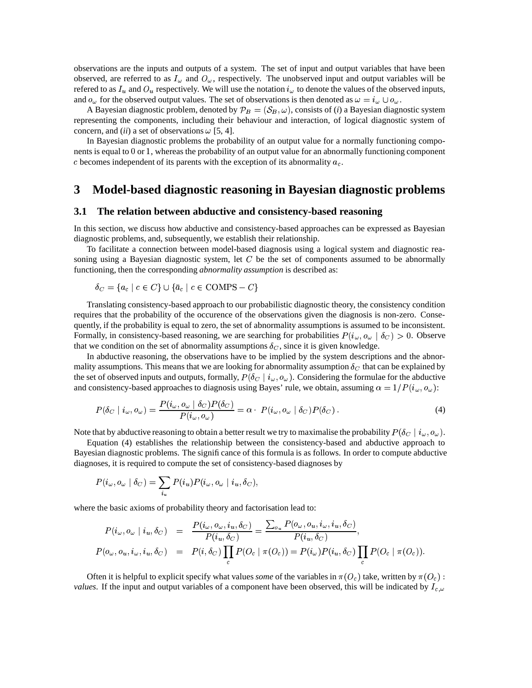observations are the inputs and outputs of a system. The set of input and output variables that have been observed, are referred to as  $I_{\omega}$  and  $O_{\omega}$ , respectively. The unobserved input and output variables will be refered to as  $I_u$  and  $O_u$  respectively. We will use the notation  $i_\omega$  to denote the values of the observed inputs, and  $o_\omega$  for the observed output values. The set of observations is then denoted as  $\omega = i_\omega \cup o_\omega$ .

A Bayesian diagnostic problem, denoted by  $\mathcal{P}_B = (\mathcal{S}_B, \omega)$ , consists of (*i*) a Bayesian diagnostic system representing the components, including their behaviour and interaction, of logical diagnostic system of concern, and *(ii)* a set of observations  $\omega$  [5, 4].

In Bayesian diagnostic problems the probability of an output value for a normally functioning components is equal to 0 or 1, whereas the probability of an output value for an abnormally functioning component c becomes independent of its parents with the exception of its abnormality  $a_c$ .

# **3 Model-based diagnostic reasoning in Bayesian diagnostic problems**

### **3.1 The relation between abductive and consistency-based reasoning**

In this section, we discuss how abductive and consistency-based approaches can be expressed as Bayesian diagnostic problems, and, subsequently, we establish their relationship.

To facilitate a connection between model-based diagnosis using a logical system and diagnostic reasoning using a Bayesian diagnostic system, let  $C$  be the set of components assumed to be abnormally functioning, then the corresponding *abnormality assumption* is described as:

$$
\delta_C = \{a_c \mid c \in C\} \cup \{\bar{a}_c \mid c \in \text{COMPS} - C\}
$$

Translating consistency-based approach to our probabilistic diagnostic theory, the consistency condition requires that the probability of the occurence of the observations given the diagnosis is non-zero. Consequently, if the probability is equal to zero, the set of abnormality assumptions is assumed to be inconsistent. Formally, in consistency-based reasoning, we are searching for probabilities  $P(i_{\omega}, o_{\omega} | \delta_C) > 0$ . Observe that we condition on the set of abnormality assumptions  $\delta_C$ , since it is given knowledge.

In abductive reasoning, the observations have to be implied by the system descriptions and the abnormality assumptions. This means that we are looking for abnormality assumption  $\delta_C$  that can be explained by the set of observed inputs and outputs, formally,  $P(\delta_C | i_\omega, o_\omega)$ . Considering the formulae for the abductive and consistency-based approaches to diagnosis using Bayes' rule, we obtain, assuming  $\alpha = 1/P(i_{\omega}, o_{\omega})$ :

$$
P(\delta_C \mid i_\omega, o_\omega) = \frac{P(i_\omega, o_\omega \mid \delta_C) P(\delta_C)}{P(i_\omega, o_\omega)} = \alpha \cdot P(i_\omega, o_\omega \mid \delta_C) P(\delta_C) \ . \tag{4}
$$

Note that by abductive reasoning to obtain a better result we try to maximalise the probability  $P(\delta_C \mid i_\omega, o_\omega)$ .

Equation (4) establishes the relationship between the consistency-based and abductive approach to Bayesian diagnostic problems. The significance of this formula is as follows. In order to compute abductive diagnoses, it is required to compute the set of consistency-based diagnoses by

$$
P(i_{\omega}, o_{\omega} \mid \delta_C) = \sum_{i_u} P(i_u) P(i_{\omega}, o_{\omega} \mid i_u, \delta_C),
$$

where the basic axioms of probability theory and factorisation lead to:

$$
P(i_{\omega}, o_{\omega} \mid i_u, \delta_C) = \frac{P(i_{\omega}, o_{\omega}, i_u, \delta_C)}{P(i_u, \delta_C)} = \frac{\sum_{o_u} P(o_{\omega}, o_u, i_{\omega}, i_u, \delta_C)}{P(i_u, \delta_C)},
$$
  

$$
P(o_{\omega}, o_u, i_{\omega}, i_u, \delta_C) = P(i, \delta_C) \prod_c P(O_c \mid \pi(O_c)) = P(i_{\omega}) P(i_u, \delta_C) \prod_c P(O_c \mid \pi(O_c)).
$$

Often it is helpful to explicit specify what values *some* of the variables in  $\pi(O_c)$  take, written by  $\pi(O_c)$ : *values*. If the input and output variables of a component have been observed, this will be indicated by  $I_{c,\omega}$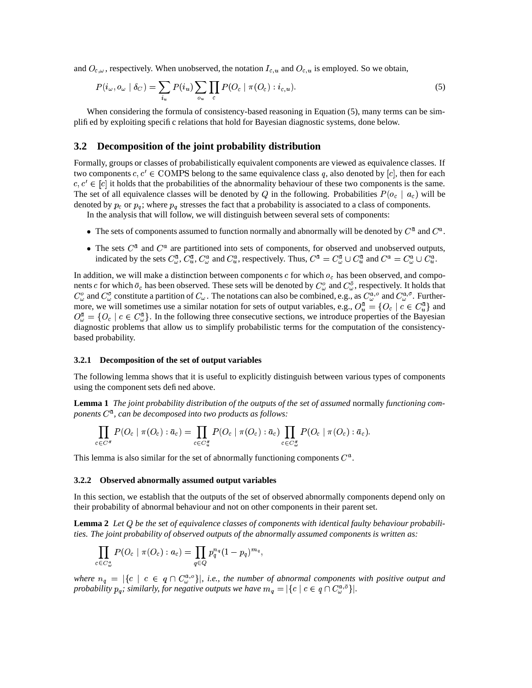and  $O_{c,\omega}$ , respectively. When unobserved, the notation  $I_{c,u}$  and  $O_{c,u}$  is employed. So we obtain,

$$
P(i_{\omega}, o_{\omega} \mid \delta_C) = \sum_{i_u} P(i_u) \sum_{o_u} \prod_c P(O_c \mid \pi(O_c) : i_{c,u}).
$$
\n<sup>(5)</sup>

When considering the formula of consistency-based reasoning in Equation (5), many terms can be simplified by exploiting specific relations that hold for Bayesian diagnostic systems, done below.

### **3.2 Decomposition of the joint probability distribution**

Formally, groups or classes of probabilistically equivalent components are viewed as equivalence classes. If two components  $c, c' \in \text{COMPS}$  belong to the same equivalence class q, also denoted by  $[c]$ , then for each  $c, c' \in [c]$  it holds that the probabilities of the abnormality behaviour of these two components is the same. The set of all equivalence classes will be denoted by Q in the following. Probabilities  $P(o_c \mid a_c)$  will be denoted by  $p_c$  or  $p_q$ ; where  $p_q$  stresses the fact that a probability is associated to a class of components.

In the analysis that will follow, we will distinguish between several sets of components:

- The sets of components assumed to function normally and abnormally will be denoted by  $C^{\bar a}$  and  $C^a$ .
- The sets  $C^{\bar{a}}$  and  $C^a$  are partitioned into sets of components, for observed and unobserved outputs, The sets  $C^*$  and  $C^*$  are partitioned into sets of components, for observed and unobserved outputs,<br>indicated by the sets  $C^a_{\mu}$ ,  $C^a_{\mu}$ ,  $C^a_{\mu}$  and  $C^a_n$ , respectively. Thus,  $C^{\bar{a}} = C^{\bar{a}}_{\mu} \cup C^{\bar{a}}_{\bar$ K-K-.

In addition, we will make a distinction between components  $c$  for which  $o_c$  has been observed, and components c for which  $\bar{o}_c$  has been observed. These sets will be denoted by  $C^{\omega}_{\omega}$  and  $C^{\bar{\omega}}_{\omega}$ , respectively. It holds that  $C^o_\omega$  and  $C^{\bar a}_{\omega}$  constitute a partition of  $C_\omega$ . The notations can also be combined, e.g., as  $C^{a,\sigma}_{\omega}$ , and  $C^{a,\bar{\sigma}}_{\omega}$ . Further- $C_{\omega}^{\perp}$  and  $C_{\omega}^{\perp}$  constructed a partition of  $C_{\omega}$ . The notations can also be combined, e.g., as  $C_{\omega}^{\perp}$  and  $C_{\omega}^{\perp}$ . Furthermore, we will sometimes use a similar notation for sets of output variab Kindictively with sometimes use a similar hotation for sets of output variables, e.g.,  $\sigma_u^x = \{O_c \mid c \in C_u^x\}$  and  $O_u^{\bar{u}} = \{O_c \mid c \in C_u^{\bar{u}}\}$ . In the following three consecutive sections, we introduce properties of the diagnostic problems that allow us to simplify probabilistic terms for the computation of the consistencybased probability.

#### **3.2.1 Decomposition of the set of output variables**

The following lemma shows that it is useful to explicitly distinguish between various types of components using the component sets defined above.

**Lemma 1** *The joint probability distribution of the outputs of the set of assumed* normally *functioning components* **1** *Ine folm probability atstribution of the outputs of a ponents*  $C^{\bar{a}}$ *, can be decomposed into two products as follows:* 

$$
\prod_{c \in C^{\bar{a}}} P(O_c \mid \pi(O_c) : \bar{a}_c) = \prod_{c \in C^{\bar{a}}_{\bar{u}}} P(O_c \mid \pi(O_c) : \bar{a}_c) \prod_{c \in C^{\bar{a}}_{\bar{\omega}}} P(O_c \mid \pi(O_c) : \bar{a}_c).
$$

This lemma is also similar for the set of abnormally functioning components  $C^a$ .

#### **3.2.2 Observed abnormally assumed output variables**

In this section, we establish that the outputs of the set of observed abnormally components depend only on their probability of abnormal behaviour and not on other components in their parent set.

**Lemma 2** *Let be the set of equivalence classes of components with identical faulty behaviour probabilities. The joint probability of observed outputs of the abnormally assumed components is written as:*

$$
\prod_{c\in C^a_\omega} P(O_c \mid \pi(O_c) : a_c) = \prod_{q\in Q} p_q^{n_q} (1-p_q)^{m_q},
$$

where  $n_q = |\{c \mid c \in q \cap C^a_{\omega} \}|\}$ , i.e., the number of abnormal components with positive output and *probability*  $p_q$ ; *similarly, for negative outputs we have*  $m_q = |\{c \mid c \in q \cap C^{a, \delta}_\omega\}|$ .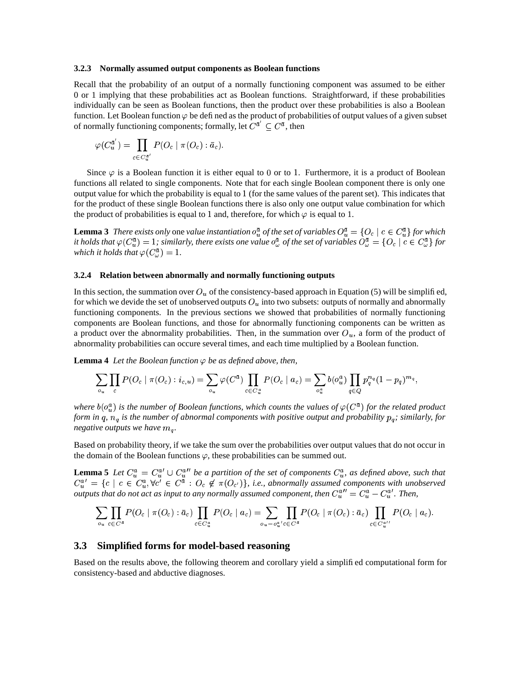#### **3.2.3 Normally assumed output components as Boolean functions**

Recall that the probability of an output of a normally functioning component was assumed to be either 0 or 1 implying that these probabilities act as Boolean functions. Straightforward, if these probabilities individually can be seen as Boolean functions, then the product over these probabilities is also a Boolean function. Let Boolean function  $\varphi$  be defined as the product of probabilities of output values of a given subset function. Let boolean function  $\varphi$  be defined as the product of probable of normally functioning components; formally, let  $C^{\bar{a}} \subseteq C^{\bar{a}}$ , then

$$
\varphi(C_u^{\bar{a}'}) = \prod_{c \in C_u^{\bar{a}'}} P(O_c \mid \pi(O_c) : \bar{a}_c).
$$

Since  $\varphi$  is a Boolean function it is either equal to 0 or to 1. Furthermore, it is a product of Boolean functions all related to single components. Note that for each single Boolean component there is only one output value for which the probability is equal to (for the same values of the parent set). This indicates that for the product of these single Boolean functions there is also only one output value combination for which the product of probabilities is equal to 1 and, therefore, for which  $\varphi$  is equal to 1.

**Lemma** 3 There exists only one value instantiation  $o_n^{\bar{a}}$  of the set of variables  $O_n^{\bar{a}} = \{O_c \mid c \in C_n^{\bar{a}}\}$  for which **Lemma 3** There exists only one value instantiation  $o_u^{\pi}$  of the set of variables  $O_u^{\pi} = \{O_c \mid c \in C_u^{\pi}\}\$  for which<br>it holds that  $\varphi(C_u^{\bar{a}}) = 1$ ; similarly, there exists one value  $o_{\omega}^{\bar{a}}$  of the set of varia *which it holds that*  $\varphi(C_{\omega}^{\bar{a}}) = 1$ .

### **3.2.4 Relation between abnormally and normally functioning outputs**

In this section, the summation over  $O_u$  of the consistency-based approach in Equation (5) will be simplified, for which we devide the set of unobserved outputs  $O_u$  into two subsets: outputs of normally and abnormally functioning components. In the previous sections we showed that probabilities of normally functioning components are Boolean functions, and those for abnormally functioning components can be written as a product over the abnormality probabilities. Then, in the summation over  $O_u$ , a form of the product of abnormality probabilities can occure several times, and each time multiplied by a Boolean function.

**Lemma 4** *Let the Boolean function*  $\varphi$  *be as defined above, then,* 

$$
\sum_{o_u} \prod_c P(O_c \mid \pi(O_c) : i_{c,u}) = \sum_{o_u} \varphi(C^a) \prod_{c \in C^a_u} P(O_c \mid a_c) = \sum_{o_u^a} b(o_u^a) \prod_{q \in Q} p_q^{n_q} (1 - p_q)^{m_q},
$$

where  $b(o_u^a)$  is the number of Boolean functions, which counts the values of  $\varphi(C^{\bar{a}})$  for the related product K*form in*  $q$ ,  $n_q$  *is the number of abnormal components with positive output and probability*  $p_q$ ; *similarly*, *for negative outputs we have*  $m_q$ *.* 

Based on probability theory, if we take the sum over the probabilities over output values that do not occur in the domain of the Boolean functions  $\varphi$ , these probabilities can be summed out.

**Lemma** 5 Let  $C_u^a = C_u^{a'} \cup C_u^{a''}$  be a partition of the set of components  $C_u^a$ , as defined above, such that K- **Lemma 5** Let  $C_u = C_u \cup C_u$  be a partition of the set of components  $C_u$ , as aefined above, such that  $C_u^a{}' = \{c \mid c \in C_u^a, \forall c' \in C^{\bar{a}} : O_c \notin \pi(O_{c'})\}$ , i.e., abnormally assumed components with unobserved K-K*outputs that do not act as input to any normally assumed component, then*  $C_u^{all} = C_u^a - C_u^{al}$ *. Then,* .<br>ا K-

$$
\sum_{o_u} \prod_{c \in C^{\bar{a}}} P(O_c \mid \pi(O_c) : \bar{a}_c) \prod_{c \in C^{\bar{a}}_u} P(O_c \mid a_c) = \sum_{o_u - o_u^{a'}c \in C^{\bar{a}}} \prod_{c \in C^{\bar{a}}} P(O_c \mid \pi(O_c) : \bar{a}_c) \prod_{c \in C^{\bar{a}}_u} P(O_c \mid a_c).
$$

### **3.3 Simplified forms for model-based reasoning**

Based on the results above, the following theorem and corollary yield a simplified computational form for consistency-based and abductive diagnoses.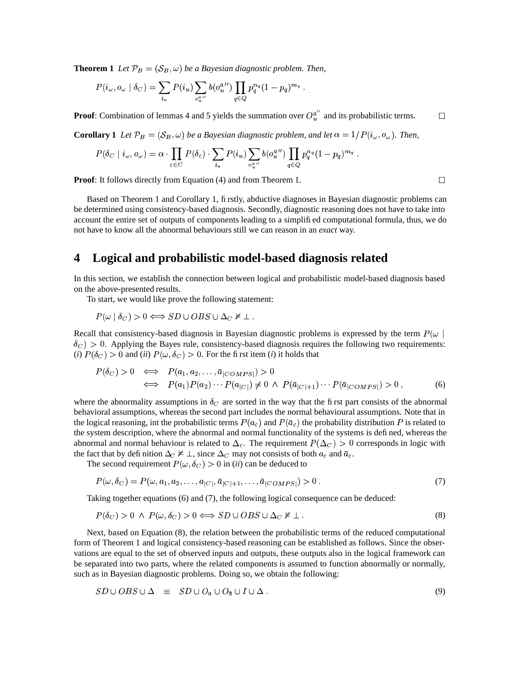**Theorem 1** Let  $\mathcal{P}_B = (\mathcal{S}_B, \omega)$  be a Bayesian diagnostic problem. Then,

$$
P(i_{\omega}, o_{\omega} \mid \delta_C) = \sum_{i_u} P(i_u) \sum_{o_u^{a''}} b(o_u^{a''}) \prod_{q \in Q} p_q^{n_q} (1 - p_q)^{m_q} \ .
$$

**Proof**: Combination of lemmas 4 and 5 yields the summation over  $O_n^{a'}$  and its probabilistic terms.  $\Box$ 

**Corollary 1** *Let*  $\mathcal{P}_B = (\mathcal{S}_B, \omega)$  *be a Bayesian diagnostic problem, and let*  $\alpha = 1/P(i_\omega, o_\omega)$ *. Then,* 

$$
P(\delta_C \mid i_\omega, o_\omega) = \alpha \cdot \prod_{c \in C} P(\delta_c) \cdot \sum_{i_u} P(i_u) \sum_{o_u^{a''}} b(o_u^{a''}) \prod_{q \in Q} p_q^{n_q} (1 - p_q)^{m_q}.
$$

**Proof:** It follows directly from Equation (4) and from Theorem 1.  $\Box$ 

Based on Theorem 1 and Corollary 1, firstly, abductive diagnoses in Bayesian diagnostic problems can be determined using consistency-based diagnosis. Secondly, diagnostic reasoning does not have to take into account the entire set of outputs of components leading to a simplified computational formula, thus, we do not have to know all the abnormal behaviours still we can reason in an *exact* way.

## **4 Logical and probabilistic model-based diagnosis related**

In this section, we establish the connection between logical and probabilistic model-based diagnosis based on the above-presented results.

To start, we would like prove the following statement:

$$
P(\omega \mid \delta_C) > 0 \Longleftrightarrow SD \cup OBS \cup \Delta_C \nvDash \bot .
$$

Recall that consistency-based diagnosis in Bayesian diagnostic problems is expressed by the term  $P(\omega)$  $\delta_C$ ) > 0. Applying the Bayes rule, consistency-based diagnosis requires the following two requirements:  $(i) P(\delta_C) > 0$  and  $(ii) P(\omega, \delta_C) > 0$ . For the first item (*i*) it holds that

$$
P(\delta_C) > 0 \iff P(a_1, a_2, \dots, \bar{a}_{|COMPS|}) > 0
$$
  
\n
$$
\iff P(a_1)P(a_2) \cdots P(a_{|C|}) \neq 0 \land P(\bar{a}_{|C|+1}) \cdots P(\bar{a}_{|COMPS|}) > 0,
$$
 (6)

where the abnormality assumptions in  $\delta_C$  are sorted in the way that the first part consists of the abnormal behavioral assumptions, whereas the second part includes the normal behavioural assumptions. Note that in the logical reasoning, int the probabilistic terms  $P(a_c)$  and  $P(\bar{a}_c)$  the probability distribution P is related to the system description, where the abnormal and normal functionality of the systems is defined, whereas the abnormal and normal behaviour is related to  $\Delta_c$ . The requirement  $P(\Delta_C) > 0$  corresponds in logic with the fact that by definition  $\Delta_C \nvDash \bot$ , since  $\Delta_C$  may not consists of both  $a_c$  and  $\bar{a}_c$ .

The second requirement  $P(\omega, \delta_C) > 0$  in *(ii)* can be deduced to

$$
P(\omega, \delta_C) = P(\omega, a_1, a_2, \dots, a_{|C|}, \bar{a}_{|C|+1}, \dots, \bar{a}_{|COMPS|}) > 0.
$$
\n<sup>(7)</sup>

Taking together equations (6) and (7), the following logical consequence can be deduced:

$$
P(\delta_C) > 0 \land P(\omega, \delta_C) > 0 \Longleftrightarrow SD \cup OBS \cup \Delta_C \nvDash \bot \,. \tag{8}
$$

Next, based on Equation (8), the relation between the probabilistic terms of the reduced computational form of Theorem 1 and logical consistency-based reasoning can be established as follows. Since the observations are equal to the set of observed inputs and outputs, these outputs also in the logical framework can be separated into two parts, where the related components is assumed to function abnormally or normally, such as in Bayesian diagnostic problems. Doing so, we obtain the following:

$$
SD \cup OBS \cup \Delta \equiv SD \cup O_a \cup O_{\bar{a}} \cup I \cup \Delta. \tag{9}
$$